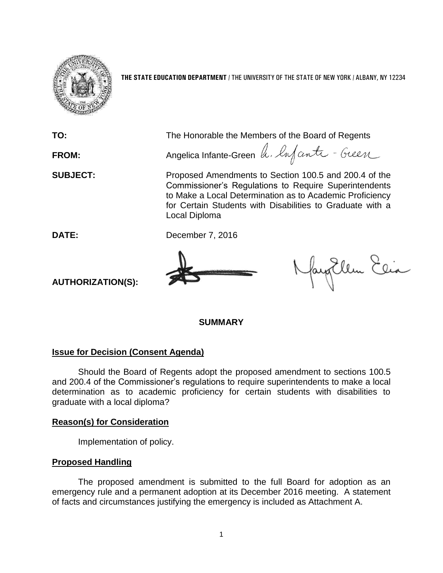

**THE STATE EDUCATION DEPARTMENT** / THE UNIVERSITY OF THE STATE OF NEW YORK / ALBANY, NY 12234

**TO:** The Honorable the Members of the Board of Regents FROM: Angelica Infante-Green h. Infanta - Guen **SUBJECT:** Proposed Amendments to Section 100.5 and 200.4 of the Commissioner's Regulations to Require Superintendents to Make a Local Determination as to Academic Proficiency for Certain Students with Disabilities to Graduate with a Local Diploma **DATE:** December 7, 2016 Nayollen Elia **AUTHORIZATION(S):**

**SUMMARY**

## **Issue for Decision (Consent Agenda)**

Should the Board of Regents adopt the proposed amendment to sections 100.5 and 200.4 of the Commissioner's regulations to require superintendents to make a local determination as to academic proficiency for certain students with disabilities to graduate with a local diploma?

## **Reason(s) for Consideration**

Implementation of policy.

## **Proposed Handling**

The proposed amendment is submitted to the full Board for adoption as an emergency rule and a permanent adoption at its December 2016 meeting. A statement of facts and circumstances justifying the emergency is included as Attachment A.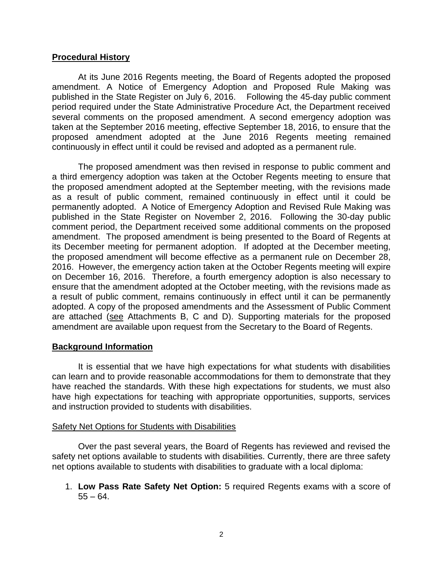## **Procedural History**

At its June 2016 Regents meeting, the Board of Regents adopted the proposed amendment. A Notice of Emergency Adoption and Proposed Rule Making was published in the State Register on July 6, 2016. Following the 45-day public comment period required under the State Administrative Procedure Act, the Department received several comments on the proposed amendment. A second emergency adoption was taken at the September 2016 meeting, effective September 18, 2016, to ensure that the proposed amendment adopted at the June 2016 Regents meeting remained continuously in effect until it could be revised and adopted as a permanent rule.

The proposed amendment was then revised in response to public comment and a third emergency adoption was taken at the October Regents meeting to ensure that the proposed amendment adopted at the September meeting, with the revisions made as a result of public comment, remained continuously in effect until it could be permanently adopted. A Notice of Emergency Adoption and Revised Rule Making was published in the State Register on November 2, 2016. Following the 30-day public comment period, the Department received some additional comments on the proposed amendment. The proposed amendment is being presented to the Board of Regents at its December meeting for permanent adoption. If adopted at the December meeting, the proposed amendment will become effective as a permanent rule on December 28, 2016. However, the emergency action taken at the October Regents meeting will expire on December 16, 2016. Therefore, a fourth emergency adoption is also necessary to ensure that the amendment adopted at the October meeting, with the revisions made as a result of public comment, remains continuously in effect until it can be permanently adopted. A copy of the proposed amendments and the Assessment of Public Comment are attached (see Attachments B, C and D). Supporting materials for the proposed amendment are available upon request from the Secretary to the Board of Regents.

## **Background Information**

It is essential that we have high expectations for what students with disabilities can learn and to provide reasonable accommodations for them to demonstrate that they have reached the standards. With these high expectations for students, we must also have high expectations for teaching with appropriate opportunities, supports, services and instruction provided to students with disabilities.

## Safety Net Options for Students with Disabilities

Over the past several years, the Board of Regents has reviewed and revised the safety net options available to students with disabilities. Currently, there are three safety net options available to students with disabilities to graduate with a local diploma:

1. **Low Pass Rate Safety Net Option:** 5 required Regents exams with a score of  $55 - 64$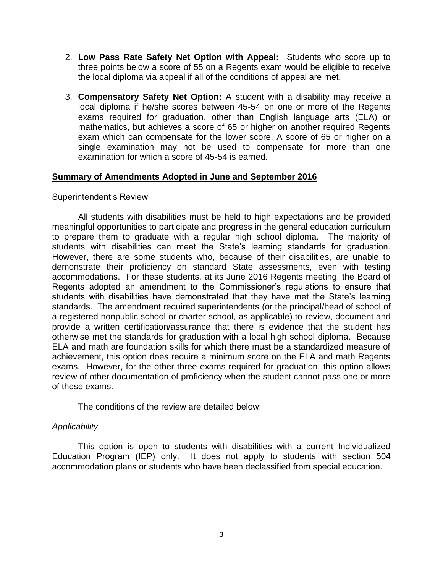- 2. **Low Pass Rate Safety Net Option with Appeal:** Students who score up to three points below a score of 55 on a Regents exam would be eligible to receive the local diploma via appeal if all of the conditions of appeal are met.
- 3. **Compensatory Safety Net Option:** A student with a disability may receive a local diploma if he/she scores between 45-54 on one or more of the Regents exams required for graduation, other than English language arts (ELA) or mathematics, but achieves a score of 65 or higher on another required Regents exam which can compensate for the lower score. A score of 65 or higher on a single examination may not be used to compensate for more than one examination for which a score of 45-54 is earned.

## **Summary of Amendments Adopted in June and September 2016**

## Superintendent's Review

All students with disabilities must be held to high expectations and be provided meaningful opportunities to participate and progress in the general education curriculum to prepare them to graduate with a regular high school diploma. The majority of students with disabilities can meet the State's learning standards for graduation. However, there are some students who, because of their disabilities, are unable to demonstrate their proficiency on standard State assessments, even with testing accommodations. For these students, at its June 2016 Regents meeting, the Board of Regents adopted an amendment to the Commissioner's regulations to ensure that students with disabilities have demonstrated that they have met the State's learning standards. The amendment required superintendents (or the principal/head of school of a registered nonpublic school or charter school, as applicable) to review, document and provide a written certification/assurance that there is evidence that the student has otherwise met the standards for graduation with a local high school diploma. Because ELA and math are foundation skills for which there must be a standardized measure of achievement, this option does require a minimum score on the ELA and math Regents exams. However, for the other three exams required for graduation, this option allows review of other documentation of proficiency when the student cannot pass one or more of these exams.

The conditions of the review are detailed below:

## *Applicability*

This option is open to students with disabilities with a current Individualized Education Program (IEP) only. It does not apply to students with section 504 accommodation plans or students who have been declassified from special education.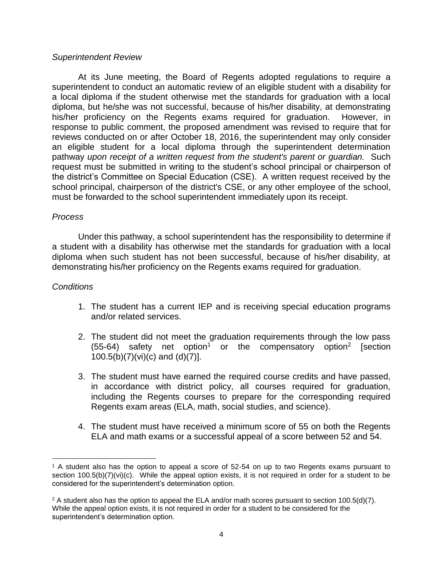## *Superintendent Review*

At its June meeting, the Board of Regents adopted regulations to require a superintendent to conduct an automatic review of an eligible student with a disability for a local diploma if the student otherwise met the standards for graduation with a local diploma, but he/she was not successful, because of his/her disability, at demonstrating his/her proficiency on the Regents exams required for graduation. However, in response to public comment, the proposed amendment was revised to require that for reviews conducted on or after October 18, 2016, the superintendent may only consider an eligible student for a local diploma through the superintendent determination pathway *upon receipt of a written request from the student's parent or guardian.* Such request must be submitted in writing to the student's school principal or chairperson of the district's Committee on Special Education (CSE). A written request received by the school principal, chairperson of the district's CSE, or any other employee of the school, must be forwarded to the school superintendent immediately upon its receipt.

## *Process*

Under this pathway, a school superintendent has the responsibility to determine if a student with a disability has otherwise met the standards for graduation with a local diploma when such student has not been successful, because of his/her disability, at demonstrating his/her proficiency on the Regents exams required for graduation.

## *Conditions*

 $\overline{a}$ 

- 1. The student has a current IEP and is receiving special education programs and/or related services.
- 2. The student did not meet the graduation requirements through the low pass  $(55-64)$  safety net option<sup>1</sup> or the compensatory option<sup>2</sup> [section 100.5(b)(7)(vi)(c) and (d)(7)].
- 3. The student must have earned the required course credits and have passed, in accordance with district policy, all courses required for graduation, including the Regents courses to prepare for the corresponding required Regents exam areas (ELA, math, social studies, and science).
- 4. The student must have received a minimum score of 55 on both the Regents ELA and math exams or a successful appeal of a score between 52 and 54.

<sup>1</sup> A student also has the option to appeal a score of 52-54 on up to two Regents exams pursuant to section 100.5(b)(7)(vi)(c). While the appeal option exists, it is not required in order for a student to be considered for the superintendent's determination option.

<sup>&</sup>lt;sup>2</sup> A student also has the option to appeal the ELA and/or math scores pursuant to section 100.5(d)(7). While the appeal option exists, it is not required in order for a student to be considered for the superintendent's determination option.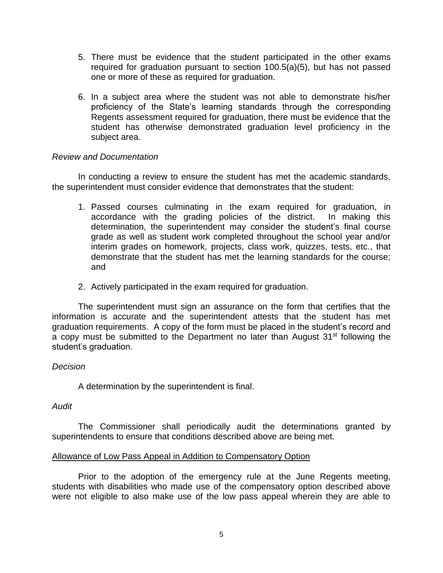- 5. There must be evidence that the student participated in the other exams required for graduation pursuant to section 100.5(a)(5), but has not passed one or more of these as required for graduation.
- 6. In a subject area where the student was not able to demonstrate his/her proficiency of the State's learning standards through the corresponding Regents assessment required for graduation, there must be evidence that the student has otherwise demonstrated graduation level proficiency in the subject area.

## *Review and Documentation*

In conducting a review to ensure the student has met the academic standards, the superintendent must consider evidence that demonstrates that the student:

- 1. Passed courses culminating in the exam required for graduation, in accordance with the grading policies of the district. In making this determination, the superintendent may consider the student's final course grade as well as student work completed throughout the school year and/or interim grades on homework, projects, class work, quizzes, tests, etc., that demonstrate that the student has met the learning standards for the course; and
- 2. Actively participated in the exam required for graduation.

The superintendent must sign an assurance on the form that certifies that the information is accurate and the superintendent attests that the student has met graduation requirements. A copy of the form must be placed in the student's record and a copy must be submitted to the Department no later than August  $31<sup>st</sup>$  following the student's graduation.

## *Decision*

A determination by the superintendent is final.

## *Audit*

The Commissioner shall periodically audit the determinations granted by superintendents to ensure that conditions described above are being met.

## Allowance of Low Pass Appeal in Addition to Compensatory Option

Prior to the adoption of the emergency rule at the June Regents meeting, students with disabilities who made use of the compensatory option described above were not eligible to also make use of the low pass appeal wherein they are able to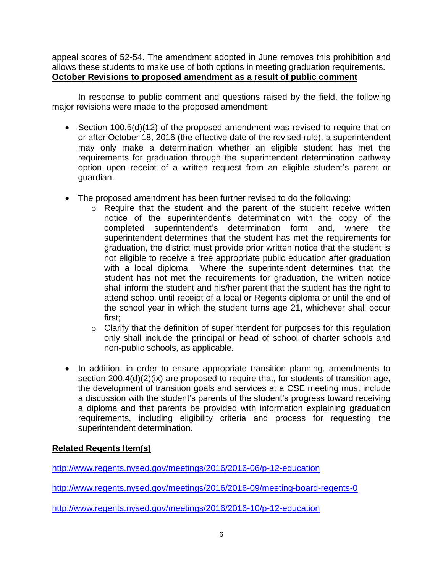appeal scores of 52-54. The amendment adopted in June removes this prohibition and allows these students to make use of both options in meeting graduation requirements. **October Revisions to proposed amendment as a result of public comment**

In response to public comment and questions raised by the field, the following major revisions were made to the proposed amendment:

- Section 100.5(d)(12) of the proposed amendment was revised to require that on or after October 18, 2016 (the effective date of the revised rule), a superintendent may only make a determination whether an eligible student has met the requirements for graduation through the superintendent determination pathway option upon receipt of a written request from an eligible student's parent or guardian.
- The proposed amendment has been further revised to do the following:
	- o Require that the student and the parent of the student receive written notice of the superintendent's determination with the copy of the completed superintendent's determination form and, where the superintendent determines that the student has met the requirements for graduation, the district must provide prior written notice that the student is not eligible to receive a free appropriate public education after graduation with a local diploma. Where the superintendent determines that the student has not met the requirements for graduation, the written notice shall inform the student and his/her parent that the student has the right to attend school until receipt of a local or Regents diploma or until the end of the school year in which the student turns age 21, whichever shall occur first;
	- $\circ$  Clarify that the definition of superintendent for purposes for this regulation only shall include the principal or head of school of charter schools and non-public schools, as applicable.
- In addition, in order to ensure appropriate transition planning, amendments to section 200.4(d)(2)(ix) are proposed to require that, for students of transition age, the development of transition goals and services at a CSE meeting must include a discussion with the student's parents of the student's progress toward receiving a diploma and that parents be provided with information explaining graduation requirements, including eligibility criteria and process for requesting the superintendent determination.

# **Related Regents Item(s)**

<http://www.regents.nysed.gov/meetings/2016/2016-06/p-12-education>

<http://www.regents.nysed.gov/meetings/2016/2016-09/meeting-board-regents-0>

<http://www.regents.nysed.gov/meetings/2016/2016-10/p-12-education>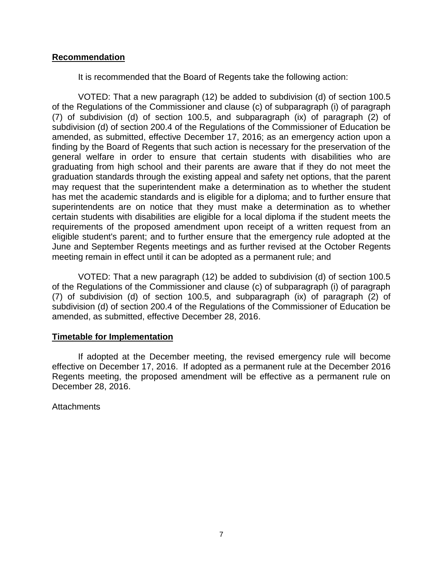## **Recommendation**

It is recommended that the Board of Regents take the following action:

VOTED: That a new paragraph (12) be added to subdivision (d) of section 100.5 of the Regulations of the Commissioner and clause (c) of subparagraph (i) of paragraph (7) of subdivision (d) of section 100.5, and subparagraph (ix) of paragraph (2) of subdivision (d) of section 200.4 of the Regulations of the Commissioner of Education be amended, as submitted, effective December 17, 2016; as an emergency action upon a finding by the Board of Regents that such action is necessary for the preservation of the general welfare in order to ensure that certain students with disabilities who are graduating from high school and their parents are aware that if they do not meet the graduation standards through the existing appeal and safety net options, that the parent may request that the superintendent make a determination as to whether the student has met the academic standards and is eligible for a diploma; and to further ensure that superintendents are on notice that they must make a determination as to whether certain students with disabilities are eligible for a local diploma if the student meets the requirements of the proposed amendment upon receipt of a written request from an eligible student's parent; and to further ensure that the emergency rule adopted at the June and September Regents meetings and as further revised at the October Regents meeting remain in effect until it can be adopted as a permanent rule; and

VOTED: That a new paragraph (12) be added to subdivision (d) of section 100.5 of the Regulations of the Commissioner and clause (c) of subparagraph (i) of paragraph (7) of subdivision (d) of section 100.5, and subparagraph (ix) of paragraph (2) of subdivision (d) of section 200.4 of the Regulations of the Commissioner of Education be amended, as submitted, effective December 28, 2016.

## **Timetable for Implementation**

If adopted at the December meeting, the revised emergency rule will become effective on December 17, 2016. If adopted as a permanent rule at the December 2016 Regents meeting, the proposed amendment will be effective as a permanent rule on December 28, 2016.

**Attachments**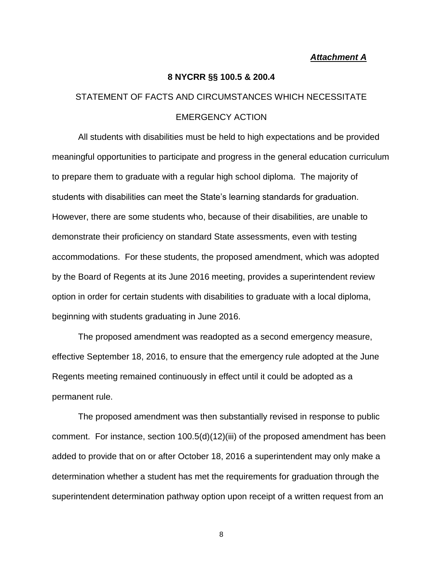#### *Attachment A*

#### **8 NYCRR §§ 100.5 & 200.4**

# STATEMENT OF FACTS AND CIRCUMSTANCES WHICH NECESSITATE EMERGENCY ACTION

All students with disabilities must be held to high expectations and be provided meaningful opportunities to participate and progress in the general education curriculum to prepare them to graduate with a regular high school diploma. The majority of students with disabilities can meet the State's learning standards for graduation. However, there are some students who, because of their disabilities, are unable to demonstrate their proficiency on standard State assessments, even with testing accommodations. For these students, the proposed amendment, which was adopted by the Board of Regents at its June 2016 meeting, provides a superintendent review option in order for certain students with disabilities to graduate with a local diploma, beginning with students graduating in June 2016.

The proposed amendment was readopted as a second emergency measure, effective September 18, 2016, to ensure that the emergency rule adopted at the June Regents meeting remained continuously in effect until it could be adopted as a permanent rule.

The proposed amendment was then substantially revised in response to public comment. For instance, section 100.5(d)(12)(iii) of the proposed amendment has been added to provide that on or after October 18, 2016 a superintendent may only make a determination whether a student has met the requirements for graduation through the superintendent determination pathway option upon receipt of a written request from an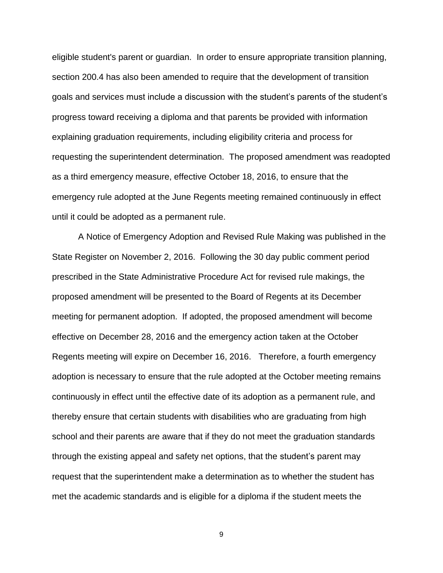eligible student's parent or guardian. In order to ensure appropriate transition planning, section 200.4 has also been amended to require that the development of transition goals and services must include a discussion with the student's parents of the student's progress toward receiving a diploma and that parents be provided with information explaining graduation requirements, including eligibility criteria and process for requesting the superintendent determination. The proposed amendment was readopted as a third emergency measure, effective October 18, 2016, to ensure that the emergency rule adopted at the June Regents meeting remained continuously in effect until it could be adopted as a permanent rule.

A Notice of Emergency Adoption and Revised Rule Making was published in the State Register on November 2, 2016. Following the 30 day public comment period prescribed in the State Administrative Procedure Act for revised rule makings, the proposed amendment will be presented to the Board of Regents at its December meeting for permanent adoption. If adopted, the proposed amendment will become effective on December 28, 2016 and the emergency action taken at the October Regents meeting will expire on December 16, 2016. Therefore, a fourth emergency adoption is necessary to ensure that the rule adopted at the October meeting remains continuously in effect until the effective date of its adoption as a permanent rule, and thereby ensure that certain students with disabilities who are graduating from high school and their parents are aware that if they do not meet the graduation standards through the existing appeal and safety net options, that the student's parent may request that the superintendent make a determination as to whether the student has met the academic standards and is eligible for a diploma if the student meets the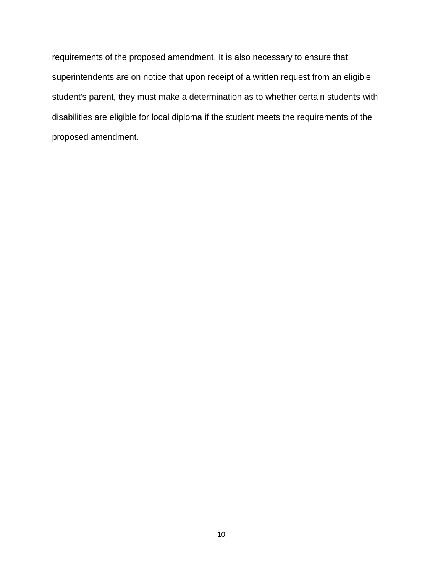requirements of the proposed amendment. It is also necessary to ensure that superintendents are on notice that upon receipt of a written request from an eligible student's parent, they must make a determination as to whether certain students with disabilities are eligible for local diploma if the student meets the requirements of the proposed amendment.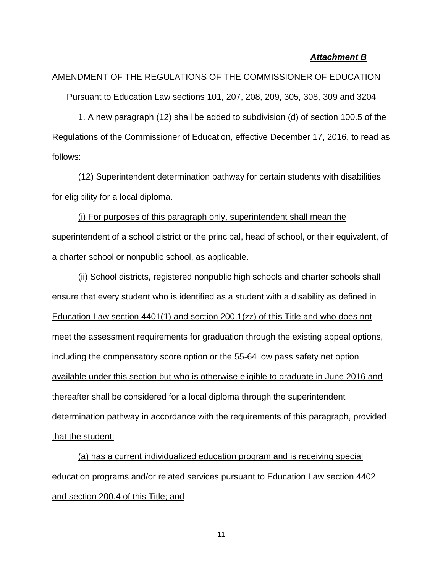## *Attachment B*

AMENDMENT OF THE REGULATIONS OF THE COMMISSIONER OF EDUCATION Pursuant to Education Law sections 101, 207, 208, 209, 305, 308, 309 and 3204

1. A new paragraph (12) shall be added to subdivision (d) of section 100.5 of the Regulations of the Commissioner of Education, effective December 17, 2016, to read as follows:

(12) Superintendent determination pathway for certain students with disabilities for eligibility for a local diploma.

(i) For purposes of this paragraph only, superintendent shall mean the superintendent of a school district or the principal, head of school, or their equivalent, of a charter school or nonpublic school, as applicable.

(ii) School districts, registered nonpublic high schools and charter schools shall ensure that every student who is identified as a student with a disability as defined in Education Law section 4401(1) and section 200.1(zz) of this Title and who does not meet the assessment requirements for graduation through the existing appeal options, including the compensatory score option or the 55-64 low pass safety net option available under this section but who is otherwise eligible to graduate in June 2016 and thereafter shall be considered for a local diploma through the superintendent determination pathway in accordance with the requirements of this paragraph, provided that the student:

(a) has a current individualized education program and is receiving special education programs and/or related services pursuant to Education Law section 4402 and section 200.4 of this Title; and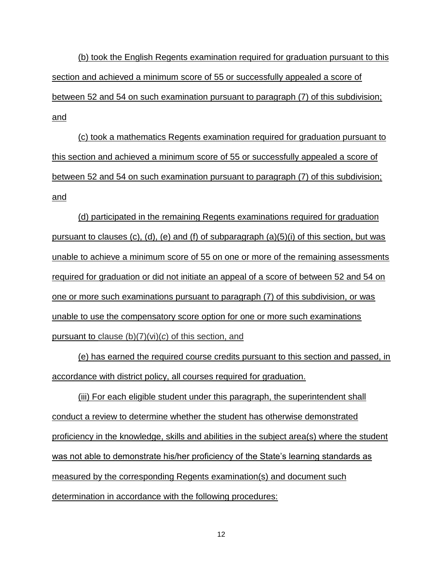(b) took the English Regents examination required for graduation pursuant to this section and achieved a minimum score of 55 or successfully appealed a score of between 52 and 54 on such examination pursuant to paragraph (7) of this subdivision; and

(c) took a mathematics Regents examination required for graduation pursuant to this section and achieved a minimum score of 55 or successfully appealed a score of between 52 and 54 on such examination pursuant to paragraph (7) of this subdivision; and

(d) participated in the remaining Regents examinations required for graduation pursuant to clauses (c), (d), (e) and (f) of subparagraph (a)(5)(i) of this section, but was unable to achieve a minimum score of 55 on one or more of the remaining assessments required for graduation or did not initiate an appeal of a score of between 52 and 54 on one or more such examinations pursuant to paragraph (7) of this subdivision, or was unable to use the compensatory score option for one or more such examinations pursuant to clause (b)(7)(vi)(*c*) of this section, and

(e) has earned the required course credits pursuant to this section and passed, in accordance with district policy, all courses required for graduation.

(iii) For each eligible student under this paragraph, the superintendent shall conduct a review to determine whether the student has otherwise demonstrated proficiency in the knowledge, skills and abilities in the subject area(s) where the student was not able to demonstrate his/her proficiency of the State's learning standards as measured by the corresponding Regents examination(s) and document such determination in accordance with the following procedures: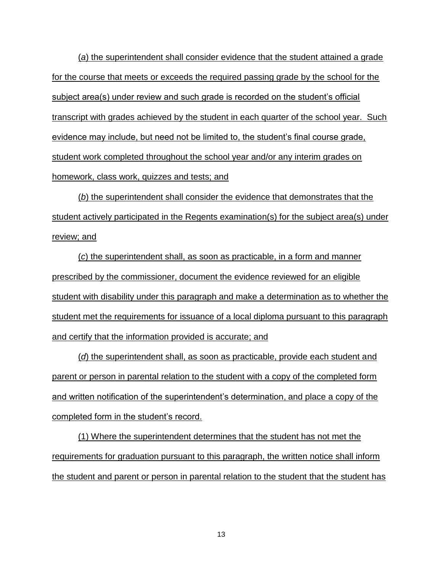(*a*) the superintendent shall consider evidence that the student attained a grade for the course that meets or exceeds the required passing grade by the school for the subject area(s) under review and such grade is recorded on the student's official transcript with grades achieved by the student in each quarter of the school year. Such evidence may include, but need not be limited to, the student's final course grade, student work completed throughout the school year and/or any interim grades on homework, class work, quizzes and tests; and

(*b*) the superintendent shall consider the evidence that demonstrates that the student actively participated in the Regents examination(s) for the subject area(s) under review; and

(*c*) the superintendent shall, as soon as practicable, in a form and manner prescribed by the commissioner, document the evidence reviewed for an eligible student with disability under this paragraph and make a determination as to whether the student met the requirements for issuance of a local diploma pursuant to this paragraph and certify that the information provided is accurate; and

(*d*) the superintendent shall, as soon as practicable, provide each student and parent or person in parental relation to the student with a copy of the completed form and written notification of the superintendent's determination, and place a copy of the completed form in the student's record.

(1) Where the superintendent determines that the student has not met the requirements for graduation pursuant to this paragraph, the written notice shall inform the student and parent or person in parental relation to the student that the student has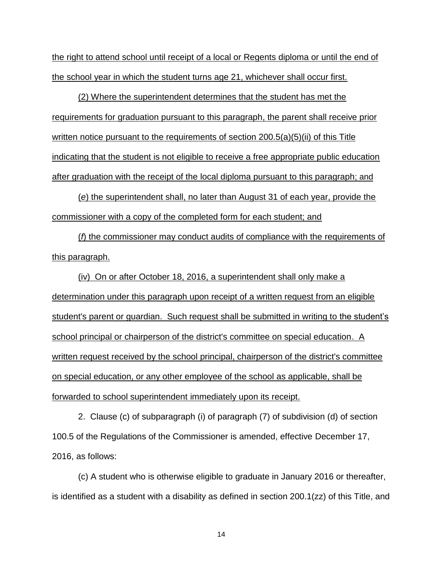the right to attend school until receipt of a local or Regents diploma or until the end of the school year in which the student turns age 21, whichever shall occur first.

(2) Where the superintendent determines that the student has met the requirements for graduation pursuant to this paragraph, the parent shall receive prior written notice pursuant to the requirements of section 200.5(a)(5)(ii) of this Title indicating that the student is not eligible to receive a free appropriate public education after graduation with the receipt of the local diploma pursuant to this paragraph; and

(*e*) the superintendent shall, no later than August 31 of each year, provide the commissioner with a copy of the completed form for each student; and

(*f*) the commissioner may conduct audits of compliance with the requirements of this paragraph.

(iv) On or after October 18, 2016, a superintendent shall only make a determination under this paragraph upon receipt of a written request from an eligible student's parent or guardian. Such request shall be submitted in writing to the student's school principal or chairperson of the district's committee on special education. A written request received by the school principal, chairperson of the district's committee on special education, or any other employee of the school as applicable, shall be forwarded to school superintendent immediately upon its receipt.

2. Clause (c) of subparagraph (i) of paragraph (7) of subdivision (d) of section 100.5 of the Regulations of the Commissioner is amended, effective December 17, 2016, as follows:

(c) A student who is otherwise eligible to graduate in January 2016 or thereafter, is identified as a student with a disability as defined in section 200.1(zz) of this Title, and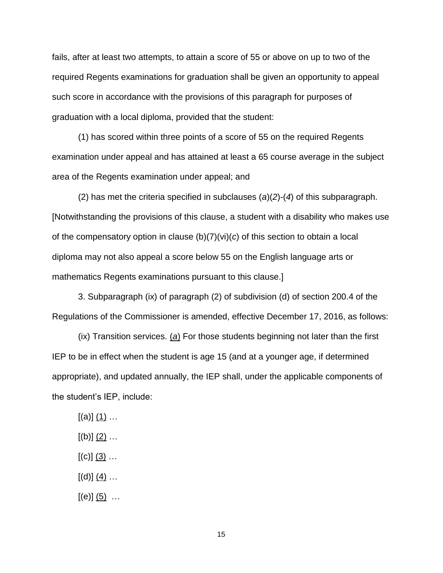fails, after at least two attempts, to attain a score of 55 or above on up to two of the required Regents examinations for graduation shall be given an opportunity to appeal such score in accordance with the provisions of this paragraph for purposes of graduation with a local diploma, provided that the student:

(1) has scored within three points of a score of 55 on the required Regents examination under appeal and has attained at least a 65 course average in the subject area of the Regents examination under appeal; and

(2) has met the criteria specified in subclauses (*a*)(*2*)-(*4*) of this subparagraph. [Notwithstanding the provisions of this clause, a student with a disability who makes use of the compensatory option in clause (b)(7)(vi)(*c*) of this section to obtain a local diploma may not also appeal a score below 55 on the English language arts or mathematics Regents examinations pursuant to this clause.]

3. Subparagraph (ix) of paragraph (2) of subdivision (d) of section 200.4 of the Regulations of the Commissioner is amended, effective December 17, 2016, as follows:

(ix) Transition services. (*a*) For those students beginning not later than the first IEP to be in effect when the student is age 15 (and at a younger age, if determined appropriate), and updated annually, the IEP shall, under the applicable components of the student's IEP, include:

- $[(a)]$   $(1)$  …
- $[(b)]$   $(2)$  ...
- $[(c)]$   $(3)$  ...
- $[(d)]$   $(4)$  …
- $[(e)]$   $(5)$   $\dots$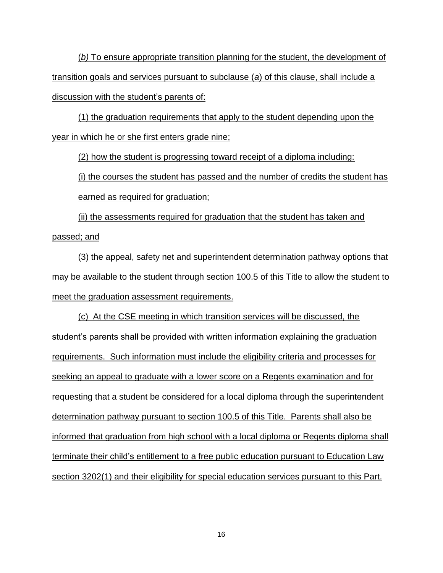(*b)* To ensure appropriate transition planning for the student, the development of transition goals and services pursuant to subclause (*a*) of this clause, shall include a discussion with the student's parents of:

(1) the graduation requirements that apply to the student depending upon the year in which he or she first enters grade nine;

(2) how the student is progressing toward receipt of a diploma including:

(i) the courses the student has passed and the number of credits the student has earned as required for graduation;

(ii) the assessments required for graduation that the student has taken and passed; and

(3) the appeal, safety net and superintendent determination pathway options that may be available to the student through section 100.5 of this Title to allow the student to meet the graduation assessment requirements.

(c) At the CSE meeting in which transition services will be discussed, the student's parents shall be provided with written information explaining the graduation requirements. Such information must include the eligibility criteria and processes for seeking an appeal to graduate with a lower score on a Regents examination and for requesting that a student be considered for a local diploma through the superintendent determination pathway pursuant to section 100.5 of this Title. Parents shall also be informed that graduation from high school with a local diploma or Regents diploma shall terminate their child's entitlement to a free public education pursuant to Education Law section 3202(1) and their eligibility for special education services pursuant to this Part.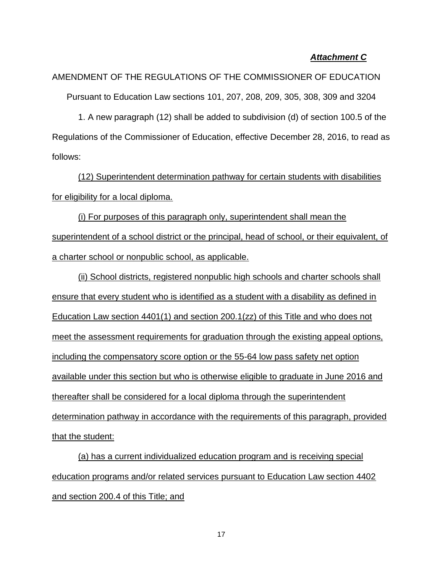## *Attachment C*

AMENDMENT OF THE REGULATIONS OF THE COMMISSIONER OF EDUCATION Pursuant to Education Law sections 101, 207, 208, 209, 305, 308, 309 and 3204

1. A new paragraph (12) shall be added to subdivision (d) of section 100.5 of the Regulations of the Commissioner of Education, effective December 28, 2016, to read as follows:

(12) Superintendent determination pathway for certain students with disabilities for eligibility for a local diploma.

(i) For purposes of this paragraph only, superintendent shall mean the superintendent of a school district or the principal, head of school, or their equivalent, of a charter school or nonpublic school, as applicable.

(ii) School districts, registered nonpublic high schools and charter schools shall ensure that every student who is identified as a student with a disability as defined in Education Law section 4401(1) and section 200.1(zz) of this Title and who does not meet the assessment requirements for graduation through the existing appeal options, including the compensatory score option or the 55-64 low pass safety net option available under this section but who is otherwise eligible to graduate in June 2016 and thereafter shall be considered for a local diploma through the superintendent determination pathway in accordance with the requirements of this paragraph, provided that the student:

(a) has a current individualized education program and is receiving special education programs and/or related services pursuant to Education Law section 4402 and section 200.4 of this Title; and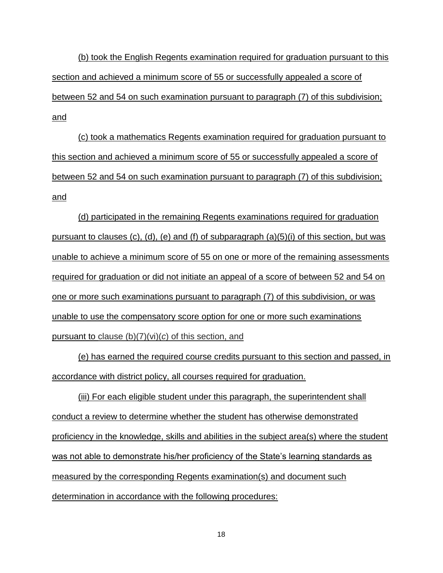(b) took the English Regents examination required for graduation pursuant to this section and achieved a minimum score of 55 or successfully appealed a score of between 52 and 54 on such examination pursuant to paragraph (7) of this subdivision; and

(c) took a mathematics Regents examination required for graduation pursuant to this section and achieved a minimum score of 55 or successfully appealed a score of between 52 and 54 on such examination pursuant to paragraph (7) of this subdivision; and

(d) participated in the remaining Regents examinations required for graduation pursuant to clauses (c), (d), (e) and (f) of subparagraph (a)(5)(i) of this section, but was unable to achieve a minimum score of 55 on one or more of the remaining assessments required for graduation or did not initiate an appeal of a score of between 52 and 54 on one or more such examinations pursuant to paragraph (7) of this subdivision, or was unable to use the compensatory score option for one or more such examinations pursuant to clause (b)(7)(vi)(*c*) of this section, and

(e) has earned the required course credits pursuant to this section and passed, in accordance with district policy, all courses required for graduation.

(iii) For each eligible student under this paragraph, the superintendent shall conduct a review to determine whether the student has otherwise demonstrated proficiency in the knowledge, skills and abilities in the subject area(s) where the student was not able to demonstrate his/her proficiency of the State's learning standards as measured by the corresponding Regents examination(s) and document such determination in accordance with the following procedures: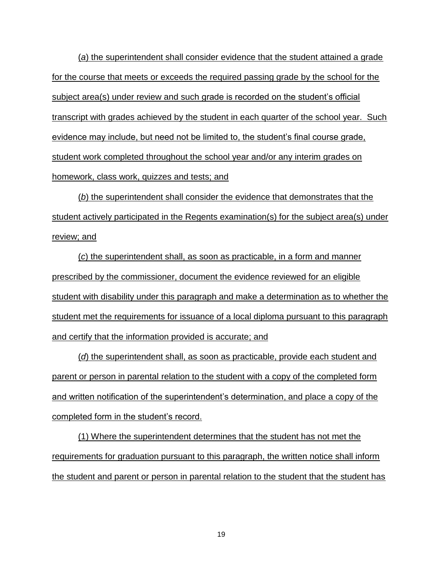(*a*) the superintendent shall consider evidence that the student attained a grade for the course that meets or exceeds the required passing grade by the school for the subject area(s) under review and such grade is recorded on the student's official transcript with grades achieved by the student in each quarter of the school year. Such evidence may include, but need not be limited to, the student's final course grade, student work completed throughout the school year and/or any interim grades on homework, class work, quizzes and tests; and

(*b*) the superintendent shall consider the evidence that demonstrates that the student actively participated in the Regents examination(s) for the subject area(s) under review; and

(*c*) the superintendent shall, as soon as practicable, in a form and manner prescribed by the commissioner, document the evidence reviewed for an eligible student with disability under this paragraph and make a determination as to whether the student met the requirements for issuance of a local diploma pursuant to this paragraph and certify that the information provided is accurate; and

(*d*) the superintendent shall, as soon as practicable, provide each student and parent or person in parental relation to the student with a copy of the completed form and written notification of the superintendent's determination, and place a copy of the completed form in the student's record.

(1) Where the superintendent determines that the student has not met the requirements for graduation pursuant to this paragraph, the written notice shall inform the student and parent or person in parental relation to the student that the student has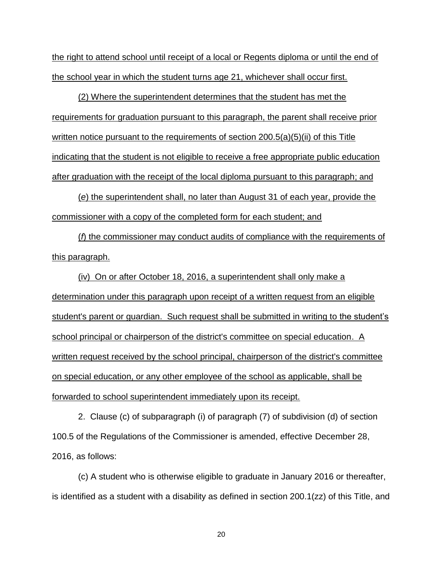the right to attend school until receipt of a local or Regents diploma or until the end of the school year in which the student turns age 21, whichever shall occur first.

(2) Where the superintendent determines that the student has met the requirements for graduation pursuant to this paragraph, the parent shall receive prior written notice pursuant to the requirements of section 200.5(a)(5)(ii) of this Title indicating that the student is not eligible to receive a free appropriate public education after graduation with the receipt of the local diploma pursuant to this paragraph; and

(*e*) the superintendent shall, no later than August 31 of each year, provide the commissioner with a copy of the completed form for each student; and

(*f*) the commissioner may conduct audits of compliance with the requirements of this paragraph.

(iv) On or after October 18, 2016, a superintendent shall only make a determination under this paragraph upon receipt of a written request from an eligible student's parent or guardian. Such request shall be submitted in writing to the student's school principal or chairperson of the district's committee on special education. A written request received by the school principal, chairperson of the district's committee on special education, or any other employee of the school as applicable, shall be forwarded to school superintendent immediately upon its receipt.

2. Clause (c) of subparagraph (i) of paragraph (7) of subdivision (d) of section 100.5 of the Regulations of the Commissioner is amended, effective December 28, 2016, as follows:

(c) A student who is otherwise eligible to graduate in January 2016 or thereafter, is identified as a student with a disability as defined in section 200.1(zz) of this Title, and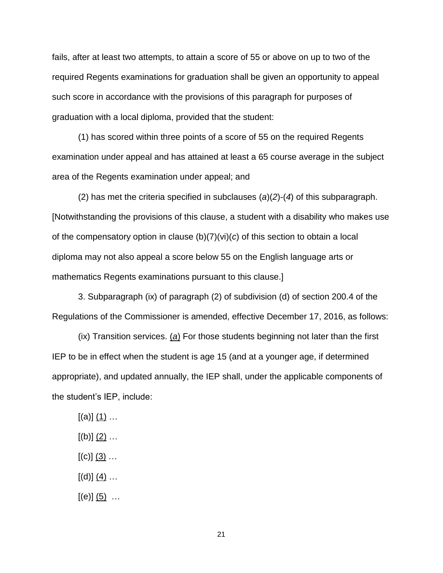fails, after at least two attempts, to attain a score of 55 or above on up to two of the required Regents examinations for graduation shall be given an opportunity to appeal such score in accordance with the provisions of this paragraph for purposes of graduation with a local diploma, provided that the student:

(1) has scored within three points of a score of 55 on the required Regents examination under appeal and has attained at least a 65 course average in the subject area of the Regents examination under appeal; and

(2) has met the criteria specified in subclauses (*a*)(*2*)-(*4*) of this subparagraph. [Notwithstanding the provisions of this clause, a student with a disability who makes use of the compensatory option in clause (b)(7)(vi)(*c*) of this section to obtain a local diploma may not also appeal a score below 55 on the English language arts or mathematics Regents examinations pursuant to this clause.]

3. Subparagraph (ix) of paragraph (2) of subdivision (d) of section 200.4 of the Regulations of the Commissioner is amended, effective December 17, 2016, as follows:

(ix) Transition services. (*a*) For those students beginning not later than the first IEP to be in effect when the student is age 15 (and at a younger age, if determined appropriate), and updated annually, the IEP shall, under the applicable components of the student's IEP, include:

- $[(a)]$   $(1)$  …
- $[(b)]$   $(2)$  ...
- $[(c)]$   $(3)$  ...
- $[(d)]$   $(4)$  …
- $[(e)]$   $(5)$  …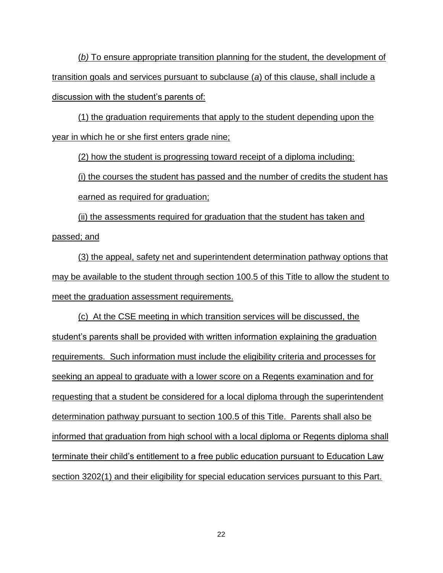(*b)* To ensure appropriate transition planning for the student, the development of transition goals and services pursuant to subclause (*a*) of this clause, shall include a discussion with the student's parents of:

(1) the graduation requirements that apply to the student depending upon the year in which he or she first enters grade nine;

(2) how the student is progressing toward receipt of a diploma including:

(i) the courses the student has passed and the number of credits the student has earned as required for graduation;

(ii) the assessments required for graduation that the student has taken and passed; and

(3) the appeal, safety net and superintendent determination pathway options that may be available to the student through section 100.5 of this Title to allow the student to meet the graduation assessment requirements.

(c) At the CSE meeting in which transition services will be discussed, the student's parents shall be provided with written information explaining the graduation requirements. Such information must include the eligibility criteria and processes for seeking an appeal to graduate with a lower score on a Regents examination and for requesting that a student be considered for a local diploma through the superintendent determination pathway pursuant to section 100.5 of this Title. Parents shall also be informed that graduation from high school with a local diploma or Regents diploma shall terminate their child's entitlement to a free public education pursuant to Education Law section 3202(1) and their eligibility for special education services pursuant to this Part.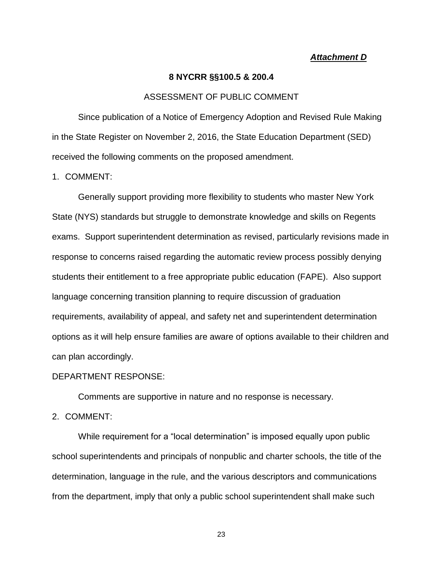## *Attachment D*

#### **8 NYCRR §§100.5 & 200.4**

#### ASSESSMENT OF PUBLIC COMMENT

Since publication of a Notice of Emergency Adoption and Revised Rule Making in the State Register on November 2, 2016, the State Education Department (SED) received the following comments on the proposed amendment.

1. COMMENT:

Generally support providing more flexibility to students who master New York State (NYS) standards but struggle to demonstrate knowledge and skills on Regents exams. Support superintendent determination as revised, particularly revisions made in response to concerns raised regarding the automatic review process possibly denying students their entitlement to a free appropriate public education (FAPE). Also support language concerning transition planning to require discussion of graduation requirements, availability of appeal, and safety net and superintendent determination options as it will help ensure families are aware of options available to their children and can plan accordingly.

#### DEPARTMENT RESPONSE:

Comments are supportive in nature and no response is necessary.

2. COMMENT:

While requirement for a "local determination" is imposed equally upon public school superintendents and principals of nonpublic and charter schools, the title of the determination, language in the rule, and the various descriptors and communications from the department, imply that only a public school superintendent shall make such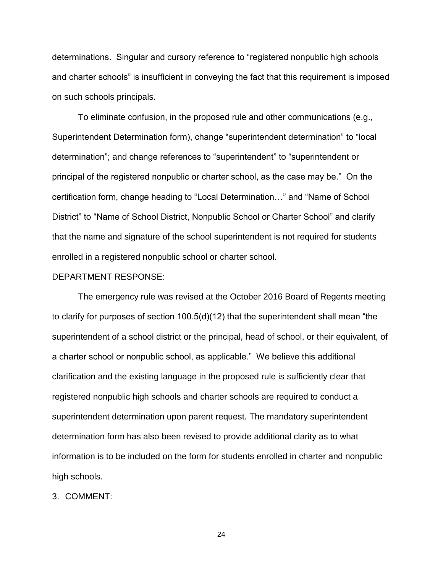determinations. Singular and cursory reference to "registered nonpublic high schools and charter schools" is insufficient in conveying the fact that this requirement is imposed on such schools principals.

To eliminate confusion, in the proposed rule and other communications (e.g., Superintendent Determination form), change "superintendent determination" to "local determination"; and change references to "superintendent" to "superintendent or principal of the registered nonpublic or charter school, as the case may be." On the certification form, change heading to "Local Determination…" and "Name of School District" to "Name of School District, Nonpublic School or Charter School" and clarify that the name and signature of the school superintendent is not required for students enrolled in a registered nonpublic school or charter school.

#### DEPARTMENT RESPONSE:

The emergency rule was revised at the October 2016 Board of Regents meeting to clarify for purposes of section 100.5(d)(12) that the superintendent shall mean "the superintendent of a school district or the principal, head of school, or their equivalent, of a charter school or nonpublic school, as applicable." We believe this additional clarification and the existing language in the proposed rule is sufficiently clear that registered nonpublic high schools and charter schools are required to conduct a superintendent determination upon parent request. The mandatory superintendent determination form has also been revised to provide additional clarity as to what information is to be included on the form for students enrolled in charter and nonpublic high schools.

3. COMMENT: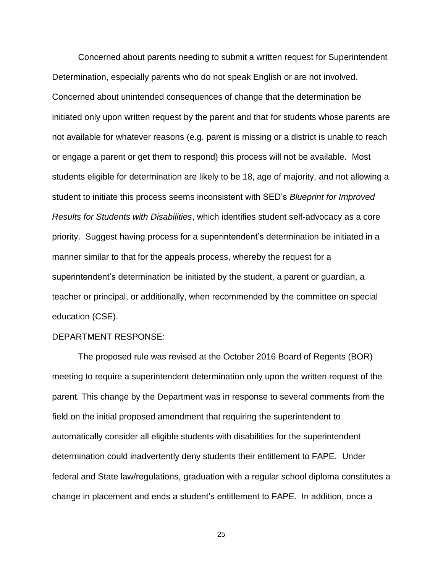Concerned about parents needing to submit a written request for Superintendent Determination, especially parents who do not speak English or are not involved. Concerned about unintended consequences of change that the determination be initiated only upon written request by the parent and that for students whose parents are not available for whatever reasons (e.g. parent is missing or a district is unable to reach or engage a parent or get them to respond) this process will not be available. Most students eligible for determination are likely to be 18, age of majority, and not allowing a student to initiate this process seems inconsistent with SED's *Blueprint for Improved Results for Students with Disabilities*, which identifies student self-advocacy as a core priority. Suggest having process for a superintendent's determination be initiated in a manner similar to that for the appeals process, whereby the request for a superintendent's determination be initiated by the student, a parent or guardian, a teacher or principal, or additionally, when recommended by the committee on special education (CSE).

#### DEPARTMENT RESPONSE:

The proposed rule was revised at the October 2016 Board of Regents (BOR) meeting to require a superintendent determination only upon the written request of the parent. This change by the Department was in response to several comments from the field on the initial proposed amendment that requiring the superintendent to automatically consider all eligible students with disabilities for the superintendent determination could inadvertently deny students their entitlement to FAPE. Under federal and State law/regulations, graduation with a regular school diploma constitutes a change in placement and ends a student's entitlement to FAPE. In addition, once a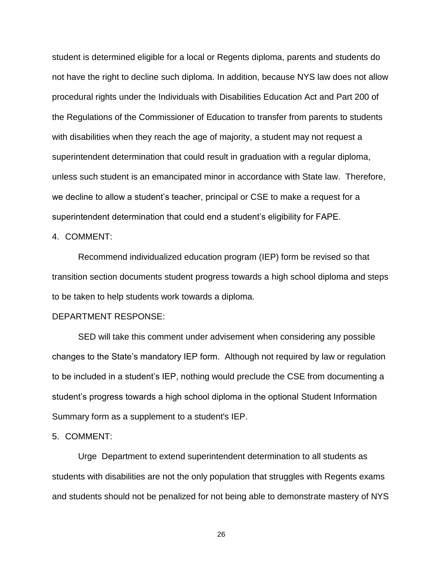student is determined eligible for a local or Regents diploma, parents and students do not have the right to decline such diploma. In addition, because NYS law does not allow procedural rights under the Individuals with Disabilities Education Act and Part 200 of the Regulations of the Commissioner of Education to transfer from parents to students with disabilities when they reach the age of majority, a student may not request a superintendent determination that could result in graduation with a regular diploma, unless such student is an emancipated minor in accordance with State law. Therefore, we decline to allow a student's teacher, principal or CSE to make a request for a superintendent determination that could end a student's eligibility for FAPE.

4. COMMENT:

Recommend individualized education program (IEP) form be revised so that transition section documents student progress towards a high school diploma and steps to be taken to help students work towards a diploma.

## DEPARTMENT RESPONSE:

SED will take this comment under advisement when considering any possible changes to the State's mandatory IEP form. Although not required by law or regulation to be included in a student's IEP, nothing would preclude the CSE from documenting a student's progress towards a high school diploma in the optional Student Information Summary form as a supplement to a student's IEP.

5. COMMENT:

Urge Department to extend superintendent determination to all students as students with disabilities are not the only population that struggles with Regents exams and students should not be penalized for not being able to demonstrate mastery of NYS